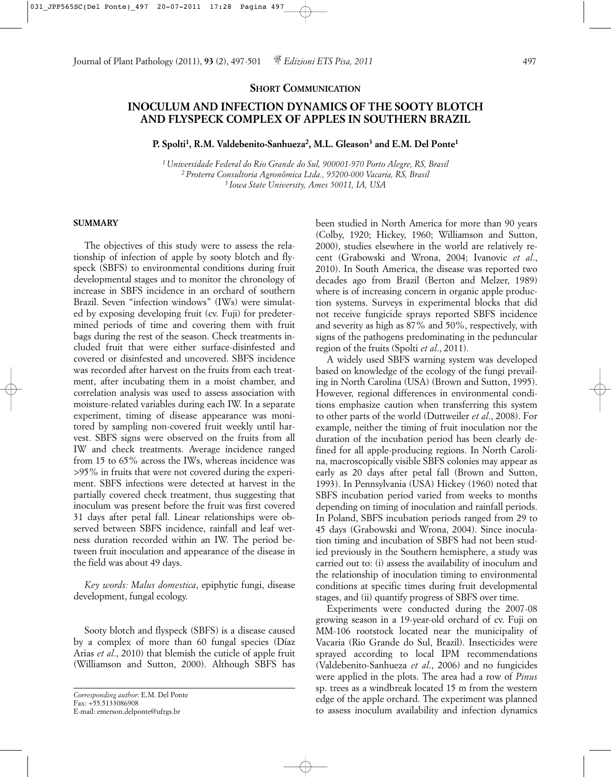## **SHORT COMMUNICATION**

# **INOCULUM AND INFECTION DYNAMICS OF THE SOOTY BLOTCH AND FLYSPECK COMPLEX OF APPLES IN SOUTHERN BRAZIL**

**P. Spolti1, R.M. Valdebenito-Sanhueza2, M.L. Gleason3 and E.M. Del Ponte1**

*1 Universidade Federal do Rio Grande do Sul, 900001-970 Porto Alegre, RS, Brasil 2 Proterra Consultoria Agronômica Ltda., 95200-000 Vacaria, RS, Brasil 3 Iowa State University, Ames 50011, IA, USA*

### **SUMMARY**

The objectives of this study were to assess the relationship of infection of apple by sooty blotch and flyspeck (SBFS) to environmental conditions during fruit developmental stages and to monitor the chronology of increase in SBFS incidence in an orchard of southern Brazil. Seven "infection windows" (IWs) were simulated by exposing developing fruit (cv. Fuji) for predetermined periods of time and covering them with fruit bags during the rest of the season. Check treatments included fruit that were either surface-disinfested and covered or disinfested and uncovered. SBFS incidence was recorded after harvest on the fruits from each treatment, after incubating them in a moist chamber, and correlation analysis was used to assess association with moisture-related variables during each IW. In a separate experiment, timing of disease appearance was monitored by sampling non-covered fruit weekly until harvest. SBFS signs were observed on the fruits from all IW and check treatments. Average incidence ranged from 15 to 65% across the IWs, whereas incidence was >95% in fruits that were not covered during the experiment. SBFS infections were detected at harvest in the partially covered check treatment, thus suggesting that inoculum was present before the fruit was first covered 31 days after petal fall. Linear relationships were observed between SBFS incidence, rainfall and leaf wetness duration recorded within an IW. The period between fruit inoculation and appearance of the disease in the field was about 49 days.

*Key words: Malus domestica*, epiphytic fungi, disease development, fungal ecology.

Sooty blotch and flyspeck (SBFS) is a disease caused by a complex of more than 60 fungal species (Díaz Arias *et al*., 2010) that blemish the cuticle of apple fruit (Williamson and Sutton, 2000). Although SBFS has been studied in North America for more than 90 years (Colby, 1920; Hickey, 1960; Williamson and Sutton, 2000), studies elsewhere in the world are relatively recent (Grabowski and Wrona, 2004; Ivanovic *et al*., 2010). In South America, the disease was reported two decades ago from Brazil (Berton and Melzer, 1989) where is of increasing concern in organic apple production systems. Surveys in experimental blocks that did not receive fungicide sprays reported SBFS incidence and severity as high as 87% and 50%, respectively, with signs of the pathogens predominating in the peduncular region of the fruits (Spolti *et al*., 2011).

A widely used SBFS warning system was developed based on knowledge of the ecology of the fungi prevailing in North Carolina (USA) (Brown and Sutton, 1995). However, regional differences in environmental conditions emphasize caution when transferring this system to other parts of the world (Duttweiler *et al*., 2008). For example, neither the timing of fruit inoculation nor the duration of the incubation period has been clearly defined for all apple-producing regions. In North Carolina, macroscopically visible SBFS colonies may appear as early as 20 days after petal fall (Brown and Sutton, 1993). In Pennsylvania (USA) Hickey (1960) noted that SBFS incubation period varied from weeks to months depending on timing of inoculation and rainfall periods. In Poland, SBFS incubation periods ranged from 29 to 45 days (Grabowski and Wrona, 2004). Since inoculation timing and incubation of SBFS had not been studied previously in the Southern hemisphere, a study was carried out to: (i) assess the availability of inoculum and the relationship of inoculation timing to environmental conditions at specific times during fruit developmental stages, and (ii) quantify progress of SBFS over time.

Experiments were conducted during the 2007-08 growing season in a 19-year-old orchard of cv. Fuji on MM-106 rootstock located near the municipality of Vacaria (Rio Grande do Sul, Brazil). Insecticides were sprayed according to local IPM recommendations (Valdebenito-Sanhueza *et al*., 2006) and no fungicides were applied in the plots. The area had a row of *Pinus* sp. trees as a windbreak located 15 m from the western edge of the apple orchard. The experiment was planned to assess inoculum availability and infection dynamics

*Corresponding author*: E.M. Del Ponte Fax: +55.5133086908 E-mail: emerson.delponte@ufrgs.br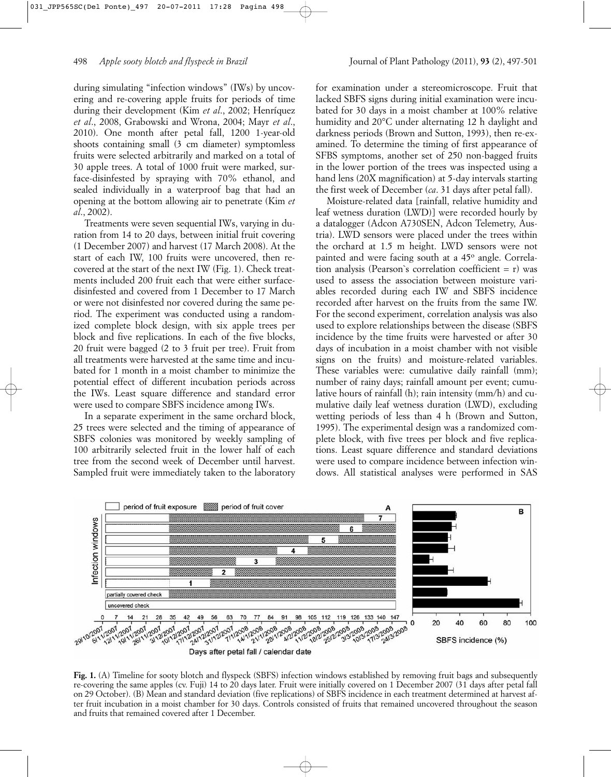during simulating "infection windows" (IWs) by uncovering and re-covering apple fruits for periods of time during their development (Kim *et al*., 2002; Henríquez *et al*., 2008, Grabowski and Wrona, 2004; Mayr *et al*., 2010). One month after petal fall, 1200 1-year-old shoots containing small (3 cm diameter) symptomless fruits were selected arbitrarily and marked on a total of 30 apple trees. A total of 1000 fruit were marked, surface-disinfested by spraying with 70% ethanol, and sealed individually in a waterproof bag that had an opening at the bottom allowing air to penetrate (Kim *et al*., 2002).

Treatments were seven sequential IWs, varying in duration from 14 to 20 days, between initial fruit covering (1 December 2007) and harvest (17 March 2008). At the start of each IW, 100 fruits were uncovered, then recovered at the start of the next IW (Fig. 1). Check treatments included 200 fruit each that were either surfacedisinfested and covered from 1 December to 17 March or were not disinfested nor covered during the same period. The experiment was conducted using a randomized complete block design, with six apple trees per block and five replications. In each of the five blocks, 20 fruit were bagged (2 to 3 fruit per tree). Fruit from all treatments were harvested at the same time and incubated for 1 month in a moist chamber to minimize the potential effect of different incubation periods across the IWs. Least square difference and standard error were used to compare SBFS incidence among IWs.

In a separate experiment in the same orchard block, 25 trees were selected and the timing of appearance of SBFS colonies was monitored by weekly sampling of 100 arbitrarily selected fruit in the lower half of each tree from the second week of December until harvest. Sampled fruit were immediately taken to the laboratory for examination under a stereomicroscope. Fruit that lacked SBFS signs during initial examination were incubated for 30 days in a moist chamber at 100% relative humidity and 20°C under alternating 12 h daylight and darkness periods (Brown and Sutton, 1993), then re-examined. To determine the timing of first appearance of SFBS symptoms, another set of 250 non-bagged fruits in the lower portion of the trees was inspected using a hand lens (20X magnification) at 5-day intervals starting the first week of December (*ca*. 31 days after petal fall).

Moisture-related data [rainfall, relative humidity and leaf wetness duration (LWD)] were recorded hourly by a datalogger (Adcon A730SEN, Adcon Telemetry, Austria). LWD sensors were placed under the trees within the orchard at 1.5 m height. LWD sensors were not painted and were facing south at a 45° angle. Correlation analysis (Pearson`s correlation coefficient = r) was used to assess the association between moisture variables recorded during each IW and SBFS incidence recorded after harvest on the fruits from the same IW. For the second experiment, correlation analysis was also used to explore relationships between the disease (SBFS incidence by the time fruits were harvested or after 30 days of incubation in a moist chamber with not visible signs on the fruits) and moisture-related variables. These variables were: cumulative daily rainfall (mm); number of rainy days; rainfall amount per event; cumulative hours of rainfall (h); rain intensity (mm/h) and cumulative daily leaf wetness duration (LWD), excluding wetting periods of less than 4 h (Brown and Sutton, 1995). The experimental design was a randomized complete block, with five trees per block and five replications. Least square difference and standard deviations were used to compare incidence between infection windows. All statistical analyses were performed in SAS



**Fig. 1.** (A) Timeline for sooty blotch and flyspeck (SBFS) infection windows established by removing fruit bags and subsequently re-covering the same apples (cv. Fuji) 14 to 20 days later. Fruit were initially covered on 1 December 2007 (31 days after petal fall on 29 October). (B) Mean and standard deviation (five replications) of SBFS incidence in each treatment determined at harvest after fruit incubation in a moist chamber for 30 days. Controls consisted of fruits that remained uncovered throughout the season and fruits that remained covered after 1 December.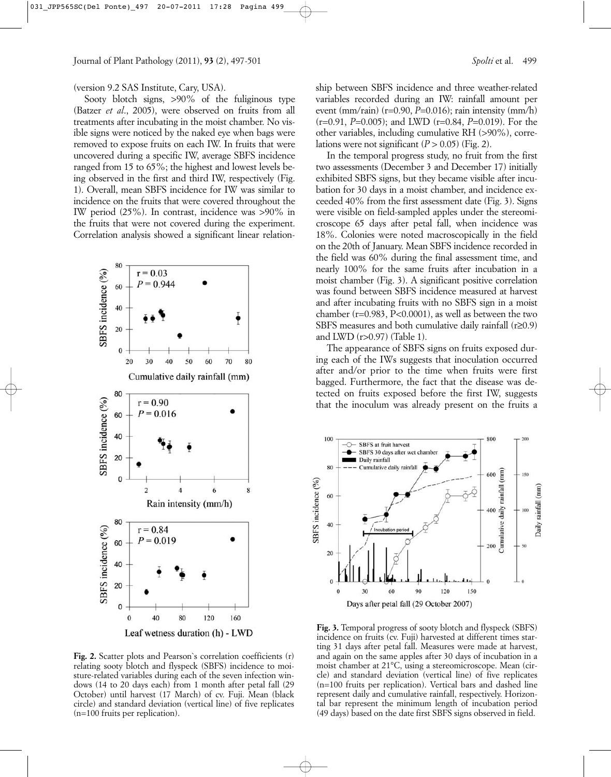Sooty blotch signs, >90% of the fuliginous type (Batzer *et al*., 2005), were observed on fruits from all treatments after incubating in the moist chamber. No visible signs were noticed by the naked eye when bags were removed to expose fruits on each IW. In fruits that were uncovered during a specific IW, average SBFS incidence ranged from 15 to 65%; the highest and lowest levels being observed in the first and third IW, respectively (Fig. 1). Overall, mean SBFS incidence for IW was similar to incidence on the fruits that were covered throughout the IW period (25%). In contrast, incidence was >90% in the fruits that were not covered during the experiment. Correlation analysis showed a significant linear relation-



**Fig. 2.** Scatter plots and Pearson`s correlation coefficients (r) relating sooty blotch and flyspeck (SBFS) incidence to moisture-related variables during each of the seven infection windows (14 to 20 days each) from 1 month after petal fall (29 October) until harvest (17 March) of cv. Fuji. Mean (black circle) and standard deviation (vertical line) of five replicates (n=100 fruits per replication).

ship between SBFS incidence and three weather-related variables recorded during an IW: rainfall amount per event (mm/rain) (r=0.90, *P*=0.016); rain intensity (mm/h) (r=0.91, *P*=0.005); and LWD (r=0.84, *P*=0.019). For the other variables, including cumulative RH (>90%), correlations were not significant  $(P > 0.05)$  (Fig. 2).

In the temporal progress study, no fruit from the first two assessments (December 3 and December 17) initially exhibited SBFS signs, but they became visible after incubation for 30 days in a moist chamber, and incidence exceeded 40% from the first assessment date (Fig. 3). Signs were visible on field-sampled apples under the stereomicroscope 65 days after petal fall, when incidence was 18%. Colonies were noted macroscopically in the field on the 20th of January. Mean SBFS incidence recorded in the field was 60% during the final assessment time, and nearly 100% for the same fruits after incubation in a moist chamber (Fig. 3). A significant positive correlation was found between SBFS incidence measured at harvest and after incubating fruits with no SBFS sign in a moist chamber (r=0.983, P<0.0001), as well as between the two SBFS measures and both cumulative daily rainfall (r≥0.9) and LWD (r>0.97) (Table 1).

The appearance of SBFS signs on fruits exposed during each of the IWs suggests that inoculation occurred after and/or prior to the time when fruits were first bagged. Furthermore, the fact that the disease was detected on fruits exposed before the first IW, suggests that the inoculum was already present on the fruits a



**Fig. 3.** Temporal progress of sooty blotch and flyspeck (SBFS) incidence on fruits (cv. Fuji) harvested at different times starting 31 days after petal fall. Measures were made at harvest, and again on the same apples after 30 days of incubation in a moist chamber at 21°C, using a stereomicroscope. Mean (circle) and standard deviation (vertical line) of five replicates (n=100 fruits per replication). Vertical bars and dashed line represent daily and cumulative rainfall, respectively. Horizontal bar represent the minimum length of incubation period (49 days) based on the date first SBFS signs observed in field.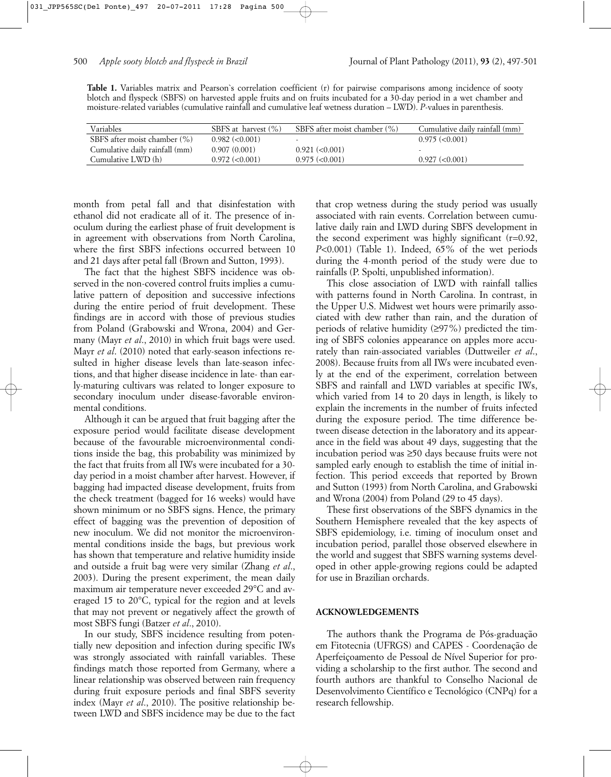**Table 1.** Variables matrix and Pearson`s correlation coefficient (r) for pairwise comparisons among incidence of sooty blotch and flyspeck (SBFS) on harvested apple fruits and on fruits incubated for a 30-day period in a wet chamber and moisture-related variables (cumulative rainfall and cumulative leaf wetness duration – LWD). *P*-values in parenthesis.

| Variables                      | SBFS at harvest $(\%)$ | SBFS after moist chamber (%) | Cumulative daily rainfall (mm) |
|--------------------------------|------------------------|------------------------------|--------------------------------|
| SBFS after moist chamber (%)   | $0.982$ (< $0.001$ )   |                              | $0.975 \approx 0.001$          |
| Cumulative daily rainfall (mm) | 0.907(0.001)           | 0.921 (< 0.001)              |                                |
| Cumulative LWD (h)             | $0.972 \approx 0.001$  | $0.975 \approx 0.001$        | $0.927 \approx 0.001$          |

month from petal fall and that disinfestation with ethanol did not eradicate all of it. The presence of inoculum during the earliest phase of fruit development is in agreement with observations from North Carolina, where the first SBFS infections occurred between 10 and 21 days after petal fall (Brown and Sutton, 1993).

The fact that the highest SBFS incidence was observed in the non-covered control fruits implies a cumulative pattern of deposition and successive infections during the entire period of fruit development. These findings are in accord with those of previous studies from Poland (Grabowski and Wrona, 2004) and Germany (Mayr *et al*., 2010) in which fruit bags were used. Mayr *et al*. (2010) noted that early-season infections resulted in higher disease levels than late-season infections, and that higher disease incidence in late- than early-maturing cultivars was related to longer exposure to secondary inoculum under disease-favorable environmental conditions.

Although it can be argued that fruit bagging after the exposure period would facilitate disease development because of the favourable microenvironmental conditions inside the bag, this probability was minimized by the fact that fruits from all IWs were incubated for a 30 day period in a moist chamber after harvest. However, if bagging had impacted disease development, fruits from the check treatment (bagged for 16 weeks) would have shown minimum or no SBFS signs. Hence, the primary effect of bagging was the prevention of deposition of new inoculum. We did not monitor the microenvironmental conditions inside the bags, but previous work has shown that temperature and relative humidity inside and outside a fruit bag were very similar (Zhang *et al*., 2003). During the present experiment, the mean daily maximum air temperature never exceeded 29°C and averaged 15 to 20°C, typical for the region and at levels that may not prevent or negatively affect the growth of most SBFS fungi (Batzer *et al*., 2010).

In our study, SBFS incidence resulting from potentially new deposition and infection during specific IWs was strongly associated with rainfall variables. These findings match those reported from Germany, where a linear relationship was observed between rain frequency during fruit exposure periods and final SBFS severity index (Mayr *et al*., 2010). The positive relationship between LWD and SBFS incidence may be due to the fact that crop wetness during the study period was usually associated with rain events. Correlation between cumulative daily rain and LWD during SBFS development in the second experiment was highly significant (r=0.92, *P*<0.001) (Table 1). Indeed, 65% of the wet periods during the 4-month period of the study were due to rainfalls (P. Spolti, unpublished information).

This close association of LWD with rainfall tallies with patterns found in North Carolina. In contrast, in the Upper U.S. Midwest wet hours were primarily associated with dew rather than rain, and the duration of periods of relative humidity  $(≥97%)$  predicted the timing of SBFS colonies appearance on apples more accurately than rain-associated variables (Duttweiler *et al*., 2008). Because fruits from all IWs were incubated evenly at the end of the experiment, correlation between SBFS and rainfall and LWD variables at specific IWs, which varied from 14 to 20 days in length, is likely to explain the increments in the number of fruits infected during the exposure period. The time difference between disease detection in the laboratory and its appearance in the field was about 49 days, suggesting that the incubation period was ≥50 days because fruits were not sampled early enough to establish the time of initial infection. This period exceeds that reported by Brown and Sutton (1993) from North Carolina, and Grabowski and Wrona (2004) from Poland (29 to 45 days).

These first observations of the SBFS dynamics in the Southern Hemisphere revealed that the key aspects of SBFS epidemiology, i.e. timing of inoculum onset and incubation period, parallel those observed elsewhere in the world and suggest that SBFS warning systems developed in other apple-growing regions could be adapted for use in Brazilian orchards.

#### **ACKNOWLEDGEMENTS**

The authors thank the Programa de Pós-graduação em Fitotecnia (UFRGS) and CAPES - Coordenação de Aperfeiçoamento de Pessoal de Nível Superior for providing a scholarship to the first author. The second and fourth authors are thankful to Conselho Nacional de Desenvolvimento Científico e Tecnológico (CNPq) for a research fellowship.